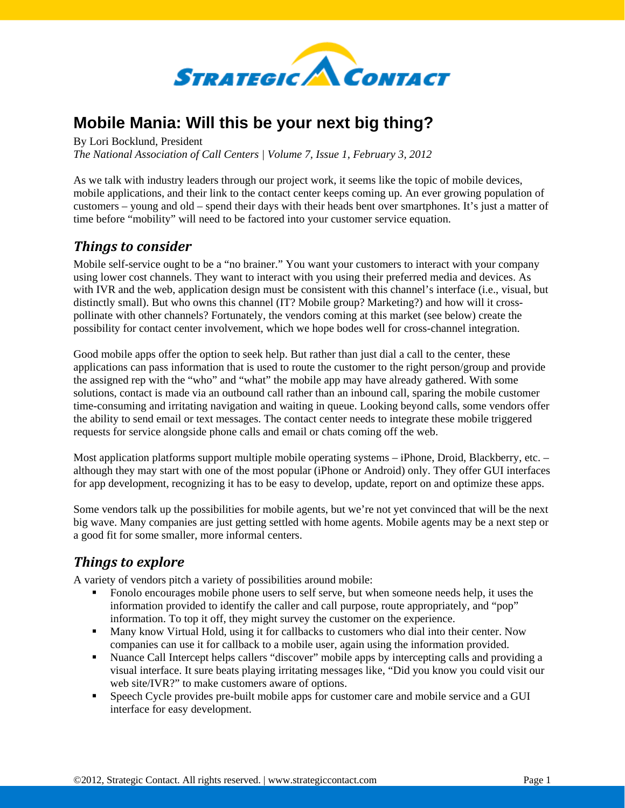

## **Mobile Mania: Will this be your next big thing?**

By Lori Bocklund, President

*The National Association of Call Centers | Volume 7, Issue 1, February 3, 2012* 

As we talk with industry leaders through our project work, it seems like the topic of mobile devices, mobile applications, and their link to the contact center keeps coming up. An ever growing population of customers – young and old – spend their days with their heads bent over smartphones. It's just a matter of time before "mobility" will need to be factored into your customer service equation.

## *Things to consider*

Mobile self-service ought to be a "no brainer." You want your customers to interact with your company using lower cost channels. They want to interact with you using their preferred media and devices. As with IVR and the web, application design must be consistent with this channel's interface (i.e., visual, but distinctly small). But who owns this channel (IT? Mobile group? Marketing?) and how will it crosspollinate with other channels? Fortunately, the vendors coming at this market (see below) create the possibility for contact center involvement, which we hope bodes well for cross-channel integration.

Good mobile apps offer the option to seek help. But rather than just dial a call to the center, these applications can pass information that is used to route the customer to the right person/group and provide the assigned rep with the "who" and "what" the mobile app may have already gathered. With some solutions, contact is made via an outbound call rather than an inbound call, sparing the mobile customer time-consuming and irritating navigation and waiting in queue. Looking beyond calls, some vendors offer the ability to send email or text messages. The contact center needs to integrate these mobile triggered requests for service alongside phone calls and email or chats coming off the web.

Most application platforms support multiple mobile operating systems – iPhone, Droid, Blackberry, etc. – although they may start with one of the most popular (iPhone or Android) only. They offer GUI interfaces for app development, recognizing it has to be easy to develop, update, report on and optimize these apps.

Some vendors talk up the possibilities for mobile agents, but we're not yet convinced that will be the next big wave. Many companies are just getting settled with home agents. Mobile agents may be a next step or a good fit for some smaller, more informal centers.

## *Things to explore*

A variety of vendors pitch a variety of possibilities around mobile:

- Fonolo encourages mobile phone users to self serve, but when someone needs help, it uses the information provided to identify the caller and call purpose, route appropriately, and "pop" information. To top it off, they might survey the customer on the experience.
- Many know Virtual Hold, using it for callbacks to customers who dial into their center. Now companies can use it for callback to a mobile user, again using the information provided.
- Nuance Call Intercept helps callers "discover" mobile apps by intercepting calls and providing a visual interface. It sure beats playing irritating messages like, "Did you know you could visit our web site/IVR?" to make customers aware of options.
- Speech Cycle provides pre-built mobile apps for customer care and mobile service and a GUI interface for easy development.